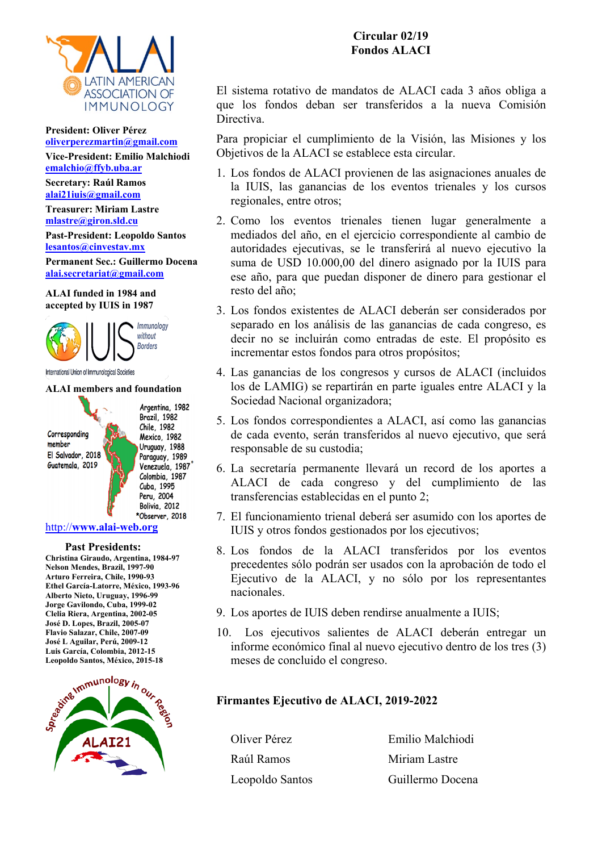

#### **President: Oliver Pérez [oliverperezmartin@gmail.com](mailto:oliverperezmartin@gmail.com)**

**Vice-President: Emilio Malchiodi [emalchio@ffyb.uba.ar](mailto:emalchio@ffyb.uba.ar)**

**Secretary: Raúl Ramos ala[i21iuis@gmail.com](mailto:21iuis@gmail.com)**

**Treasurer: Miriam Lastre [mlastre@giron.sld.cu](mailto:mlastre@giron.sld.cu)**

**Past-President: Leopoldo Santos [lesantos@cinvestav.mx](mailto:lesantos@cinvestav.mx)**

**Permanent Sec.: Guillermo Docena [alai.secretariat@gmail.com](mailto:alai.secretariat@gmail.com)**

### **ALAI funded in 1984 and accepted by IUIS in 1987**



International Union of Immunological Societies

### **ALAI members and foundation**

Corresponding member El Salvador, 2018 Guatemala, 2019

Argentina, 1982 Brazil, 1982 Chile, 1982 Mexico, 1982 Uruguay, 1988 Paraguay, 1989 Venezuela, 1987 Colombia, 1987 Cuba, 1995 Peru, 2004 Bolivia, 2012 \*Observer, 2018

## <http://>**[www.alai-web.org](http://)**

 **Past Presidents:**

**Christina Giraudo, Argentina, 1984-97 Nelson Mendes, Brazil, 1997-90 Arturo Ferreira, Chile, 1990-93 Ethel García-Latorre, México, 1993-96 Alberto Nieto, Uruguay, 1996-99 Jorge Gavilondo, Cuba, 1999-02 Clelia Riera, Argentina, 2002-05 José D. Lopes, Brazil, 2005-07 Flavio Salazar, Chile, 2007-09 José L Aguilar, Perú, 2009-12 Leopoldo Santos, México, 2015-18**



**Circular 02/19 Fondos ALACI**

El sistema rotativo de mandatos de ALACI cada 3 años obliga a que los fondos deban ser transferidos a la nueva Comisión Directiva.

Para propiciar el cumplimiento de la Visión, las Misiones y los Objetivos de la ALACI se establece esta circular.

- 1. Los fondos de ALACI provienen de las asignaciones anuales de la IUIS, las ganancias de los eventos trienales y los cursos regionales, entre otros;
- 2. Como los eventos trienales tienen lugar generalmente a mediados del año, en el ejercicio correspondiente al cambio de autoridades ejecutivas, se le transferirá al nuevo ejecutivo la suma de USD 10.000,00 del dinero asignado por la IUIS para ese año, para que puedan disponer de dinero para gestionar el resto del año;
- 3. Los fondos existentes de ALACI deberán ser considerados por separado en los análisis de las ganancias de cada congreso, es decir no se incluirán como entradas de este. El propósito es incrementar estos fondos para otros propósitos;
- 4. Las ganancias de los congresos y cursos de ALACI (incluidos los de LAMIG) se repartirán en parte iguales entre ALACI y la Sociedad Nacional organizadora;
- 5. Los fondos correspondientes a ALACI, así como las ganancias de cada evento, serán transferidos al nuevo ejecutivo, que será responsable de su custodia;
- 6. La secretaría permanente llevará un record de los aportes a ALACI de cada congreso y del cumplimiento de las transferencias establecidas en el punto 2;
- 7. El funcionamiento trienal deberá ser asumido con los aportes de IUIS y otros fondos gestionados por los ejecutivos;
- 8. Los fondos de la ALACI transferidos por los eventos precedentes sólo podrán ser usados con la aprobación de todo el Ejecutivo de la ALACI, y no sólo por los representantes nacionales.
- 9. Los aportes de IUIS deben rendirse anualmente a IUIS;
- 10. Los ejecutivos salientes de ALACI deberán entregar un informe económico final al nuevo ejecutivo dentro de los tres (3) meses de concluido el congreso.

## **Firmantes Ejecutivo de ALACI, 2019-2022**

Oliver Pérez Emilio Malchiodi Raúl Ramos Miriam Lastre Leopoldo Santos Guillermo Docena